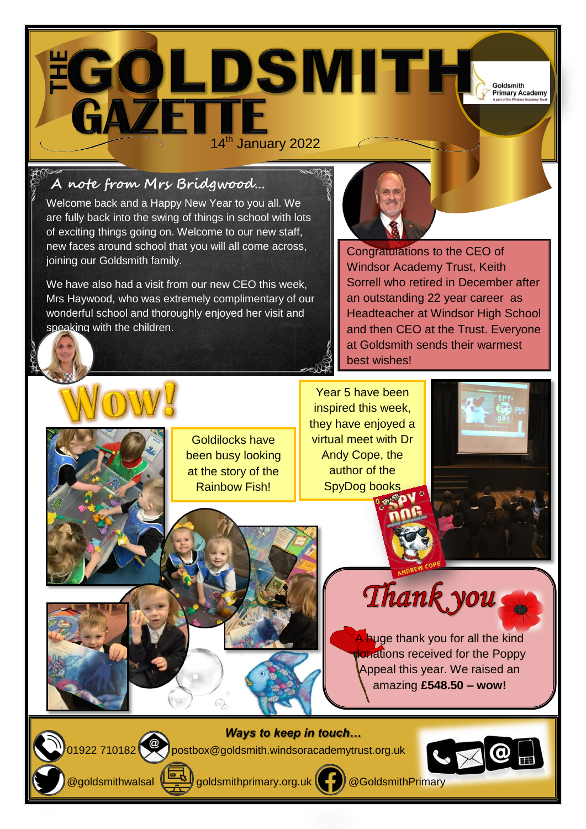Goldsmith **Primary Academy** 

**EGOLDSMITH** 

# **A note from Mrs Bridgwood…**

Welcome back and a Happy New Year to you all. We are fully back into the swing of things in school with lots of exciting things going on. Welcome to our new staff, new faces around school that you will all come across, joining our Goldsmith family.

We have also had a visit from our new CEO this week, Mrs Haywood, who was extremely complimentary of our wonderful school and thoroughly enjoyed her visit and speaking with the children.

Congratulations to the CEO of Windsor Academy Trust, Keith Sorrell who retired in December after an outstanding 22 year career as Headteacher at Windsor High School and then CEO at the Trust. Everyone at Goldsmith sends their warmest best wishes!

Goldilocks have been busy looking at the story of the Rainbow Fish!

Year 5 have been inspired this week, they have enjoyed a virtual meet with Dr Andy Cope, the author of the SpyDog books



Thank you

A huge thank you for all the kind **donations received for the Poppy** Appeal this year. We raised an amazing **£548.50 – wow!**

*Ways to keep in touch…* 01922 710182 postbox@goldsmith.windsoracademytrust.org.uk



@goldsmithwalsal  $\left(\frac{\log n}{\epsilon}\right)$ goldsmithprimary.org.uk  $\left(\epsilon\right)$  @GoldsmithPrimary